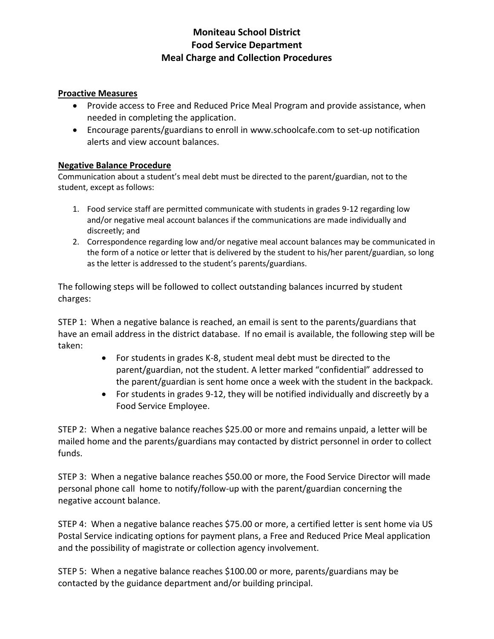# **Moniteau School District Food Service Department Meal Charge and Collection Procedures**

#### **Proactive Measures**

- Provide access to Free and Reduced Price Meal Program and provide assistance, when needed in completing the application.
- Encourage parents/guardians to enroll in www.schoolcafe.com to set-up notification alerts and view account balances.

#### **Negative Balance Procedure**

Communication about a student's meal debt must be directed to the parent/guardian, not to the student, except as follows:

- 1. Food service staff are permitted communicate with students in grades 9-12 regarding low and/or negative meal account balances if the communications are made individually and discreetly; and
- 2. Correspondence regarding low and/or negative meal account balances may be communicated in the form of a notice or letter that is delivered by the student to his/her parent/guardian, so long as the letter is addressed to the student's parents/guardians.

The following steps will be followed to collect outstanding balances incurred by student charges:

STEP 1: When a negative balance is reached, an email is sent to the parents/guardians that have an email address in the district database. If no email is available, the following step will be taken:

- For students in grades K-8, student meal debt must be directed to the parent/guardian, not the student. A letter marked "confidential" addressed to the parent/guardian is sent home once a week with the student in the backpack.
- For students in grades 9-12, they will be notified individually and discreetly by a Food Service Employee.

STEP 2: When a negative balance reaches \$25.00 or more and remains unpaid, a letter will be mailed home and the parents/guardians may contacted by district personnel in order to collect funds.

STEP 3: When a negative balance reaches \$50.00 or more, the Food Service Director will made personal phone call home to notify/follow-up with the parent/guardian concerning the negative account balance.

STEP 4: When a negative balance reaches \$75.00 or more, a certified letter is sent home via US Postal Service indicating options for payment plans, a Free and Reduced Price Meal application and the possibility of magistrate or collection agency involvement.

STEP 5: When a negative balance reaches \$100.00 or more, parents/guardians may be contacted by the guidance department and/or building principal.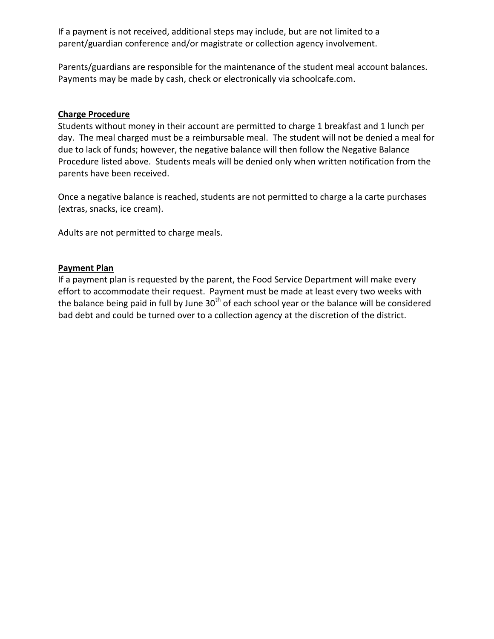If a payment is not received, additional steps may include, but are not limited to a parent/guardian conference and/or magistrate or collection agency involvement.

Parents/guardians are responsible for the maintenance of the student meal account balances. Payments may be made by cash, check or electronically via schoolcafe.com.

#### **Charge Procedure**

Students without money in their account are permitted to charge 1 breakfast and 1 lunch per day. The meal charged must be a reimbursable meal. The student will not be denied a meal for due to lack of funds; however, the negative balance will then follow the Negative Balance Procedure listed above. Students meals will be denied only when written notification from the parents have been received.

Once a negative balance is reached, students are not permitted to charge a la carte purchases (extras, snacks, ice cream).

Adults are not permitted to charge meals.

## **Payment Plan**

If a payment plan is requested by the parent, the Food Service Department will make every effort to accommodate their request. Payment must be made at least every two weeks with the balance being paid in full by June  $30<sup>th</sup>$  of each school year or the balance will be considered bad debt and could be turned over to a collection agency at the discretion of the district.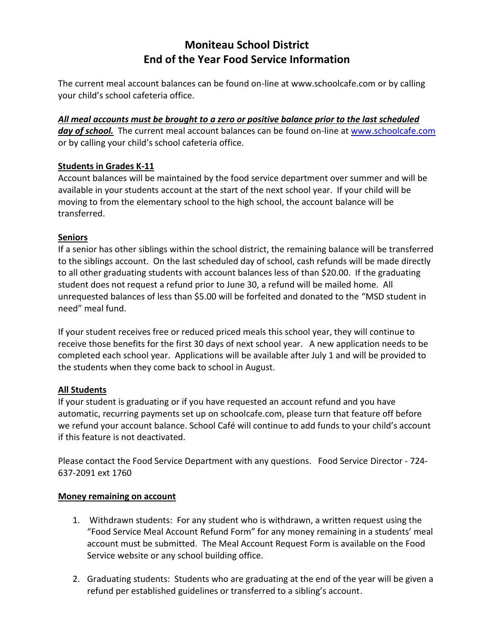# **Moniteau School District End of the Year Food Service Information**

The current meal account balances can be found on-line at www.schoolcafe.com or by calling your child's school cafeteria office.

*All meal accounts must be brought to a zero or positive balance prior to the last scheduled*  day of school. The current meal account balances can be found on-line at [www.schoolcafe.com](http://www.schoolcafe.com/) or by calling your child's school cafeteria office.

## **Students in Grades K-11**

Account balances will be maintained by the food service department over summer and will be available in your students account at the start of the next school year. If your child will be moving to from the elementary school to the high school, the account balance will be transferred.

## **Seniors**

If a senior has other siblings within the school district, the remaining balance will be transferred to the siblings account. On the last scheduled day of school, cash refunds will be made directly to all other graduating students with account balances less of than \$20.00. If the graduating student does not request a refund prior to June 30, a refund will be mailed home. All unrequested balances of less than \$5.00 will be forfeited and donated to the "MSD student in need" meal fund.

If your student receives free or reduced priced meals this school year, they will continue to receive those benefits for the first 30 days of next school year. A new application needs to be completed each school year. Applications will be available after July 1 and will be provided to the students when they come back to school in August.

# **All Students**

If your student is graduating or if you have requested an account refund and you have automatic, recurring payments set up on schoolcafe.com, please turn that feature off before we refund your account balance. School Café will continue to add funds to your child's account if this feature is not deactivated.

Please contact the Food Service Department with any questions. Food Service Director - 724- 637-2091 ext 1760

## **Money remaining on account**

- 1. Withdrawn students: For any student who is withdrawn, a written request using the "Food Service Meal Account Refund Form" for any money remaining in a students' meal account must be submitted. The Meal Account Request Form is available on the Food Service website or any school building office.
- 2. Graduating students: Students who are graduating at the end of the year will be given a refund per established guidelines or transferred to a sibling's account.